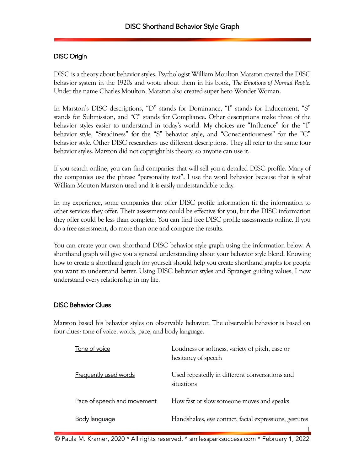# DISC Origin

DISC is a theory about behavior styles. Psychologist William Moulton Marston created the DISC behavior system in the 1920s and wrote about them in his book, *The Emotions of Normal People.* Under the name Charles Moulton, Marston also created super hero Wonder Woman.

In Marston's DISC descriptions, "D" stands for Dominance, "I" stands for Inducement, "S" stands for Submission, and "C" stands for Compliance. Other descriptions make three of the behavior styles easier to understand in today's world. My choices are "Influence" for the "I" behavior style, "Steadiness" for the "S" behavior style, and "Conscientiousness" for the "C" behavior style. Other DISC researchers use different descriptions. They all refer to the same four behavior styles. Marston did not copyright his theory, so anyone can use it.

If you search online, you can find companies that will sell you a detailed DISC profile. Many of the companies use the phrase "personality test". I use the word behavior because that is what William Mouton Marston used and it is easily understandable today.

In my experience, some companies that offer DISC profile information fit the information to other services they offer. Their assessments could be effective for you, but the DISC information they offer could be less than complete. You can find free DISC profile assessments online. If you do a free assessment, do more than one and compare the results.

You can create your own shorthand DISC behavior style graph using the information below. A shorthand graph will give you a general understanding about your behavior style blend. Knowing how to create a shorthand graph for yourself should help you create shorthand graphs for people you want to understand better. Using DISC behavior styles and Spranger guiding values, I now understand every relationship in my life.

## DISC Behavior Clues

Marston based his behavior styles on observable behavior. The observable behavior is based on four clues: tone of voice, words, pace, and body language.

| Tone of voice                | Loudness or softness, variety of pitch, ease or<br>hesitancy of speech |
|------------------------------|------------------------------------------------------------------------|
| <b>Frequently used words</b> | Used repeatedly in different conversations and<br>situations           |
| Pace of speech and movement  | How fast or slow someone moves and speaks                              |
| Body language                | Handshakes, eye contact, facial expressions, gestures                  |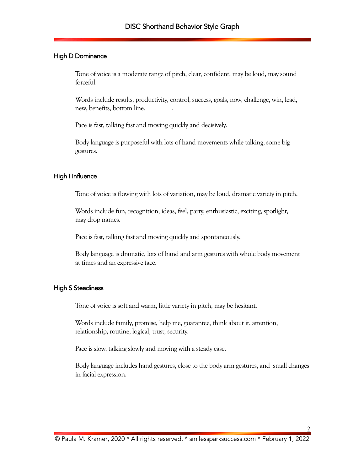#### High D Dominance

Tone of voice is a moderate range of pitch, clear, confident, may be loud, may sound forceful.

Words include results, productivity, control, success, goals, now, challenge, win, lead, new, benefits, bottom line. .

Pace is fast, talking fast and moving quickly and decisively.

Body language is purposeful with lots of hand movements while talking, some big gestures.

#### High I Influence

Tone of voice is flowing with lots of variation, may be loud, dramatic variety in pitch.

Words include fun, recognition, ideas, feel, party, enthusiastic, exciting, spotlight, may drop names.

Pace is fast, talking fast and moving quickly and spontaneously.

Body language is dramatic, lots of hand and arm gestures with whole body movement at times and an expressive face.

#### High S Steadiness

Tone of voice is soft and warm, little variety in pitch, may be hesitant.

Words include family, promise, help me, guarantee, think about it, attention, relationship, routine, logical, trust, security.

Pace is slow, talking slowly and moving with a steady ease.

Body language includes hand gestures, close to the body arm gestures, and small changes in facial expression.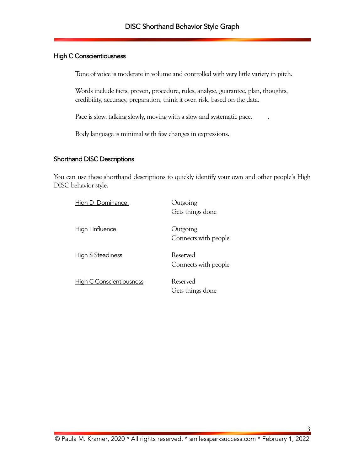## High C Conscientiousness

Tone of voice is moderate in volume and controlled with very little variety in pitch.

Words include facts, proven, procedure, rules, analyze, guarantee, plan, thoughts, credibility, accuracy, preparation, think it over, risk, based on the data.

Pace is slow, talking slowly, moving with a slow and systematic pace. .

Body language is minimal with few changes in expressions.

#### Shorthand DISC Descriptions

You can use these shorthand descriptions to quickly identify your own and other people's High DISC behavior style.

| High D Dominance                | Outgoing<br>Gets things done     |
|---------------------------------|----------------------------------|
| High I Influence                | Outgoing<br>Connects with people |
| <b>High S Steadiness</b>        | Reserved<br>Connects with people |
| <b>High C Conscientiousness</b> | Reserved<br>Gets things done     |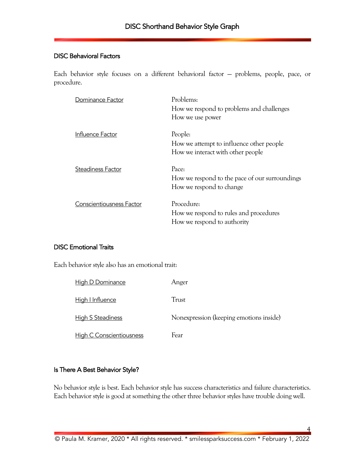#### DISC Behavioral Factors

Each behavior style focuses on a different behavioral factor — problems, people, pace, or procedure.

| Dominance Factor                | Problems:<br>How we respond to problems and challenges<br>How we use power               |
|---------------------------------|------------------------------------------------------------------------------------------|
| Influence Factor                | People:<br>How we attempt to influence other people<br>How we interact with other people |
| Steadiness Factor               | Pace:<br>How we respond to the pace of our surroundings<br>How we respond to change      |
| <b>Conscientiousness Factor</b> | Procedure:<br>How we respond to rules and procedures<br>How we respond to authority      |

## DISC Emotional Traits

Each behavior style also has an emotional trait:

| High D Dominance                | Anger                                   |
|---------------------------------|-----------------------------------------|
| High I Influence                | Trust                                   |
| <b>High S Steadiness</b>        | Nonexpression (keeping emotions inside) |
| <b>High C Conscientiousness</b> | Fear                                    |

# Is There A Best Behavior Style?

No behavior style is best. Each behavior style has success characteristics and failure characteristics. Each behavior style is good at something the other three behavior styles have trouble doing well.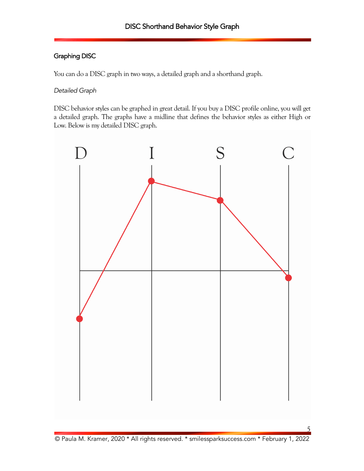# Graphing DISC

You can do a DISC graph in two ways, a detailed graph and a shorthand graph.

## *Detailed Graph*

DISC behavior styles can be graphed in great detail. If you buy a DISC profile online, you will get a detailed graph. The graphs have a midline that defines the behavior styles as either High or Low. Below is my detailed DISC graph.

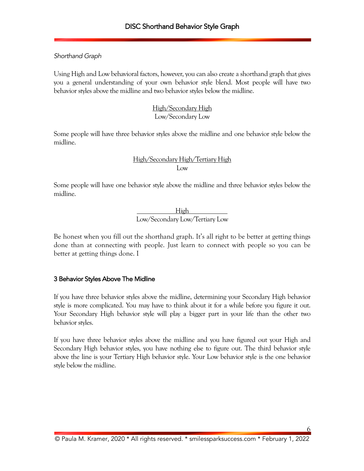## *Shorthand Graph*

Using High and Low behavioral factors, however, you can also create a shorthand graph that gives you a general understanding of your own behavior style blend. Most people will have two behavior styles above the midline and two behavior styles below the midline.

# High/Secondary High Low/Secondary Low

Some people will have three behavior styles above the midline and one behavior style below the midline.

# High/Secondary High/Tertiary High Low

Some people will have one behavior style above the midline and three behavior styles below the midline.

> High Low/Secondary Low/Tertiary Low

Be honest when you fill out the shorthand graph. It's all right to be better at getting things done than at connecting with people. Just learn to connect with people so you can be better at getting things done. I

## 3 Behavior Styles Above The Midline

If you have three behavior styles above the midline, determining your Secondary High behavior style is more complicated. You may have to think about it for a while before you figure it out. Your Secondary High behavior style will play a bigger part in your life than the other two behavior styles.

If you have three behavior styles above the midline and you have figured out your High and Secondary High behavior styles, you have nothing else to figure out. The third behavior style above the line is your Tertiary High behavior style. Your Low behavior style is the one behavior style below the midline.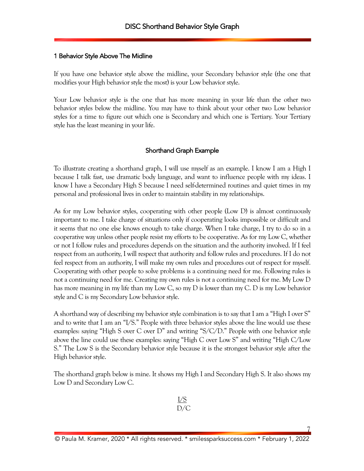#### 1 Behavior Style Above The Midline

If you have one behavior style above the midline, your Secondary behavior style (the one that modifies your High behavior style the most) is your Low behavior style.

Your Low behavior style is the one that has more meaning in your life than the other two behavior styles below the midline. You may have to think about your other two Low behavior styles for a time to figure out which one is Secondary and which one is Tertiary. Your Tertiary style has the least meaning in your life.

## Shorthand Graph Example

To illustrate creating a shorthand graph, I will use myself as an example. I know I am a High I because I talk fast, use dramatic body language, and want to influence people with my ideas. I know I have a Secondary High S because I need self-determined routines and quiet times in my personal and professional lives in order to maintain stability in my relationships.

As for my Low behavior styles, cooperating with other people (Low D) is almost continuously important to me. I take charge of situations only if cooperating looks impossible or difficult and it seems that no one else knows enough to take charge. When I take charge, I try to do so in a cooperative way unless other people resist my efforts to be cooperative. As for my Low C, whether or not I follow rules and procedures depends on the situation and the authority involved. If I feel respect from an authority, I will respect that authority and follow rules and procedures. If I do not feel respect from an authority, I will make my own rules and procedures out of respect for myself. Cooperating with other people to solve problems is a continuing need for me. Following rules is not a continuing need for me. Creating my own rules is not a continuing need for me. My Low D has more meaning in my life than my Low C, so my D is lower than my C. D is my Low behavior style and C is my Secondary Low behavior style.

A shorthand way of describing my behavior style combination is to say that I am a "High I over S" and to write that I am an "I/S." People with three behavior styles above the line would use these examples: saying "High S over C over D" and writing "S/C/D." People with one behavior style above the line could use these examples: saying "High C over Low S" and writing "High C/Low S." The Low S is the Secondary behavior style because it is the strongest behavior style after the High behavior style.

The shorthand graph below is mine. It shows my High I and Secondary High S. It also shows my Low D and Secondary Low C.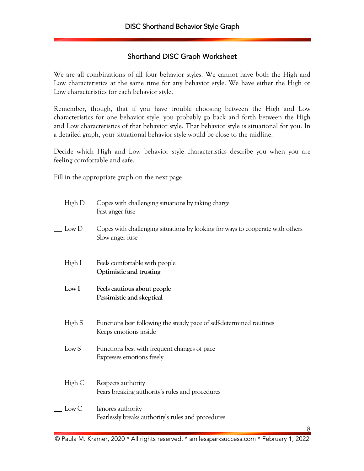# Shorthand DISC Graph Worksheet

We are all combinations of all four behavior styles. We cannot have both the High and Low characteristics at the same time for any behavior style. We have either the High or Low characteristics for each behavior style.

Remember, though, that if you have trouble choosing between the High and Low characteristics for one behavior style, you probably go back and forth between the High and Low characteristics of that behavior style. That behavior style is situational for you. In a detailed graph, your situational behavior style would be close to the midline.

Decide which High and Low behavior style characteristics describe you when you are feeling comfortable and safe.

Fill in the appropriate graph on the next page.

| High D           | Copes with challenging situations by taking charge<br>Fast anger fuse                             |
|------------------|---------------------------------------------------------------------------------------------------|
| Low D            | Copes with challenging situations by looking for ways to cooperate with others<br>Slow anger fuse |
| High I           | Feels comfortable with people<br>Optimistic and trusting                                          |
| Low <sub>l</sub> | Feels cautious about people<br>Pessimistic and skeptical                                          |
| High S           | Functions best following the steady pace of self-determined routines<br>Keeps emotions inside     |
| Low S            | Functions best with frequent changes of pace<br>Expresses emotions freely                         |
| High C           | Respects authority<br>Fears breaking authority's rules and procedures                             |
| Low C            | Ignores authority<br>Fearlessly breaks authority's rules and procedures                           |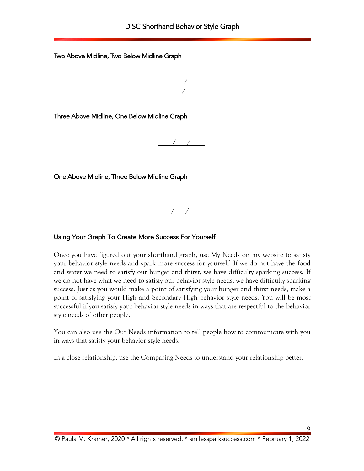Two Above Midline, Two Below Midline Graph

 / /

Three Above Midline, One Below Midline Graph

/ /

One Above Midline, Three Below Midline Graph

/ /

### Using Your Graph To Create More Success For Yourself

Once you have figured out your shorthand graph, use My Needs on my website to satisfy your behavior style needs and spark more success for yourself. If we do not have the food and water we need to satisfy our hunger and thirst, we have difficulty sparking success. If we do not have what we need to satisfy our behavior style needs, we have difficulty sparking success. Just as you would make a point of satisfying your hunger and thirst needs, make a point of satisfying your High and Secondary High behavior style needs. You will be most successful if you satisfy your behavior style needs in ways that are respectful to the behavior style needs of other people.

You can also use the Our Needs information to tell people how to communicate with you in ways that satisfy your behavior style needs.

In a close relationship, use the Comparing Needs to understand your relationship better.